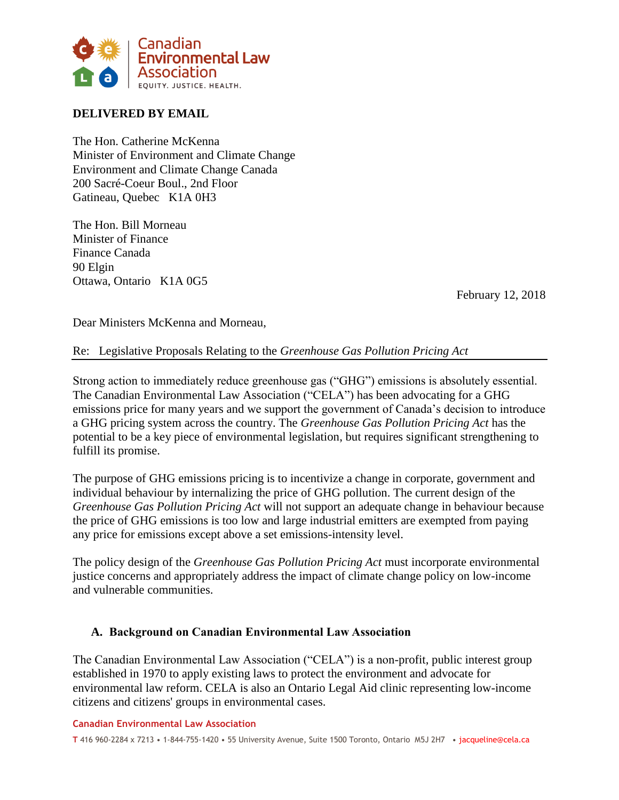

# **DELIVERED BY EMAIL**

The Hon. Catherine McKenna Minister of Environment and Climate Change Environment and Climate Change Canada 200 Sacré-Coeur Boul., 2nd Floor Gatineau, Quebec K1A 0H3

The Hon. Bill Morneau Minister of Finance Finance Canada 90 Elgin Ottawa, Ontario K1A 0G5

February 12, 2018

Dear Ministers McKenna and Morneau,

# Re: Legislative Proposals Relating to the *Greenhouse Gas Pollution Pricing Act*

Strong action to immediately reduce greenhouse gas ("GHG") emissions is absolutely essential. The Canadian Environmental Law Association ("CELA") has been advocating for a GHG emissions price for many years and we support the government of Canada's decision to introduce a GHG pricing system across the country. The *Greenhouse Gas Pollution Pricing Act* has the potential to be a key piece of environmental legislation, but requires significant strengthening to fulfill its promise.

The purpose of GHG emissions pricing is to incentivize a change in corporate, government and individual behaviour by internalizing the price of GHG pollution. The current design of the *Greenhouse Gas Pollution Pricing Act* will not support an adequate change in behaviour because the price of GHG emissions is too low and large industrial emitters are exempted from paying any price for emissions except above a set emissions-intensity level.

The policy design of the *Greenhouse Gas Pollution Pricing Act* must incorporate environmental justice concerns and appropriately address the impact of climate change policy on low-income and vulnerable communities.

### **A. Background on Canadian Environmental Law Association**

The Canadian Environmental Law Association ("CELA") is a non-profit, public interest group established in 1970 to apply existing laws to protect the environment and advocate for environmental law reform. CELA is also an Ontario Legal Aid clinic representing low-income citizens and citizens' groups in environmental cases.

#### **Canadian Environmental Law Association**

**T** 416 960-2284 x 7213 • 1-844-755-1420 • 55 University Avenue, Suite 1500 Toronto, Ontario M5J 2H7 • jacqueline@cela.ca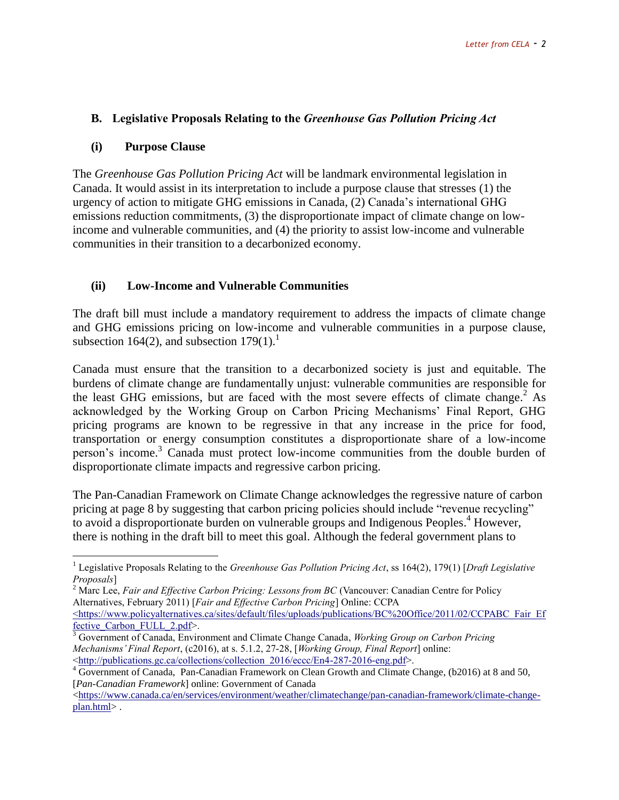# **B. Legislative Proposals Relating to the** *Greenhouse Gas Pollution Pricing Act*

#### **(i) Purpose Clause**

 $\overline{a}$ 

The *Greenhouse Gas Pollution Pricing Act* will be landmark environmental legislation in Canada. It would assist in its interpretation to include a purpose clause that stresses (1) the urgency of action to mitigate GHG emissions in Canada, (2) Canada's international GHG emissions reduction commitments, (3) the disproportionate impact of climate change on lowincome and vulnerable communities, and (4) the priority to assist low-income and vulnerable communities in their transition to a decarbonized economy.

### **(ii) Low-Income and Vulnerable Communities**

The draft bill must include a mandatory requirement to address the impacts of climate change and GHG emissions pricing on low-income and vulnerable communities in a purpose clause, subsection 164(2), and subsection  $179(1)$ .<sup>1</sup>

Canada must ensure that the transition to a decarbonized society is just and equitable. The burdens of climate change are fundamentally unjust: vulnerable communities are responsible for the least GHG emissions, but are faced with the most severe effects of climate change. <sup>2</sup> As acknowledged by the Working Group on Carbon Pricing Mechanisms' Final Report, GHG pricing programs are known to be regressive in that any increase in the price for food, transportation or energy consumption constitutes a disproportionate share of a low-income person's income.<sup>3</sup> Canada must protect low-income communities from the double burden of disproportionate climate impacts and regressive carbon pricing.

The Pan-Canadian Framework on Climate Change acknowledges the regressive nature of carbon pricing at page 8 by suggesting that carbon pricing policies should include "revenue recycling" to avoid a disproportionate burden on vulnerable groups and Indigenous Peoples. <sup>4</sup> However, there is nothing in the draft bill to meet this goal. Although the federal government plans to

<sup>1</sup> Legislative Proposals Relating to the *Greenhouse Gas Pollution Pricing Act*, ss 164(2), 179(1) [*Draft Legislative Proposals*]

<sup>2</sup> Marc Lee, *Fair and Effective Carbon Pricing: Lessons from BC* (Vancouver: Canadian Centre for Policy Alternatives, February 2011) [*Fair and Effective Carbon Pricing*] Online: CCPA

[<sup>&</sup>lt;https://www.policyalternatives.ca/sites/default/files/uploads/publications/BC%20Office/2011/02/CCPABC\\_Fair\\_Ef](file:///C:/Users/j_wilson/AppData/Local/Downloads/%3chttps:/www.policyalternatives.ca/sites/default/files/uploads/publications/BC%20Office/2011/02/CCPABC_Fair_Effective_Carbon_FULL_2.pdf) fective Carbon FULL 2.pdf>.

<sup>3</sup> Government of Canada, Environment and Climate Change Canada, *Working Group on Carbon Pricing Mechanisms' Final Report*, (c2016), at s. 5.1.2, 27-28, [*Working Group, Final Report*] online: [<http://publications.gc.ca/collections/collection\\_2016/eccc/En4-287-2016-eng.pdf>](http://publications.gc.ca/collections/collection_2016/eccc/En4-287-2016-eng.pdf).

<sup>&</sup>lt;sup>4</sup> Government of Canada, Pan-Canadian Framework on Clean Growth and Climate Change, (b2016) at 8 and 50, [*Pan-Canadian Framework*] online: Government of Canada

[<sup>&</sup>lt;https://www.canada.ca/en/services/environment/weather/climatechange/pan-canadian-framework/climate-change](https://www.canada.ca/en/services/environment/weather/climatechange/pan-canadian-framework/climate-change-plan.html)[plan.html>](https://www.canada.ca/en/services/environment/weather/climatechange/pan-canadian-framework/climate-change-plan.html) .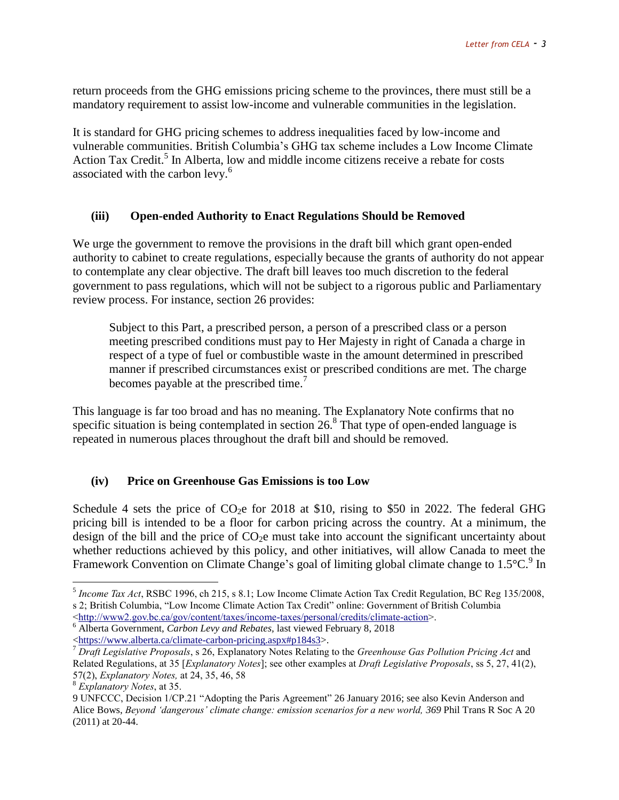return proceeds from the GHG emissions pricing scheme to the provinces, there must still be a mandatory requirement to assist low-income and vulnerable communities in the legislation.

It is standard for GHG pricing schemes to address inequalities faced by low-income and vulnerable communities. British Columbia's GHG tax scheme includes a Low Income Climate Action Tax Credit.<sup>5</sup> In Alberta, low and middle income citizens receive a rebate for costs associated with the carbon levy.<sup>6</sup>

#### **(iii) Open-ended Authority to Enact Regulations Should be Removed**

We urge the government to remove the provisions in the draft bill which grant open-ended authority to cabinet to create regulations, especially because the grants of authority do not appear to contemplate any clear objective. The draft bill leaves too much discretion to the federal government to pass regulations, which will not be subject to a rigorous public and Parliamentary review process. For instance, section 26 provides:

Subject to this Part, a prescribed person, a person of a prescribed class or a person meeting prescribed conditions must pay to Her Majesty in right of Canada a charge in respect of a type of fuel or combustible waste in the amount determined in prescribed manner if prescribed circumstances exist or prescribed conditions are met. The charge becomes payable at the prescribed time.<sup>7</sup>

This language is far too broad and has no meaning. The Explanatory Note confirms that no specific situation is being contemplated in section  $26.8$  That type of open-ended language is repeated in numerous places throughout the draft bill and should be removed.

#### **(iv) Price on Greenhouse Gas Emissions is too Low**

Schedule 4 sets the price of  $CO<sub>2</sub>e$  for 2018 at \$10, rising to \$50 in 2022. The federal GHG pricing bill is intended to be a floor for carbon pricing across the country. At a minimum, the design of the bill and the price of  $CO<sub>2</sub>e$  must take into account the significant uncertainty about whether reductions achieved by this policy, and other initiatives, will allow Canada to meet the Framework Convention on Climate Change's goal of limiting global climate change to  $1.5^{\circ}$ C.<sup>9</sup> In

 $\overline{a}$ 

<sup>5</sup> *Income Tax Act*, RSBC 1996, ch 215, s 8.1; Low Income Climate Action Tax Credit Regulation, BC Reg 135/2008, s 2; British Columbia, "Low Income Climate Action Tax Credit" online: Government of British Columbia

[<sup>&</sup>lt;http://www2.gov.bc.ca/gov/content/taxes/income-taxes/personal/credits/climate-action>](http://www2.gov.bc.ca/gov/content/taxes/income-taxes/personal/credits/climate-action).

<sup>6</sup> Alberta Government, *Carbon Levy and Rebates,* last viewed February 8, 2018

[<sup>&</sup>lt;https://www.alberta.ca/climate-carbon-pricing.aspx#p184s3>](https://www.alberta.ca/climate-carbon-pricing.aspx#p184s3).

<sup>7</sup> *Draft Legislative Proposals*, s 26, Explanatory Notes Relating to the *Greenhouse Gas Pollution Pricing Act* and Related Regulations, at 35 [*Explanatory Notes*]; see other examples at *Draft Legislative Proposals*, ss 5, 27, 41(2), 57(2), *Explanatory Notes,* at 24, 35, 46, 58

<sup>8</sup> *Explanatory Notes*, at 35.

<sup>9</sup> UNFCCC, Decision 1/CP.21 "Adopting the Paris Agreement" 26 January 2016; see also Kevin Anderson and Alice Bows, *Beyond 'dangerous' climate change: emission scenarios for a new world, 369* Phil Trans R Soc A 20 (2011) at 20-44.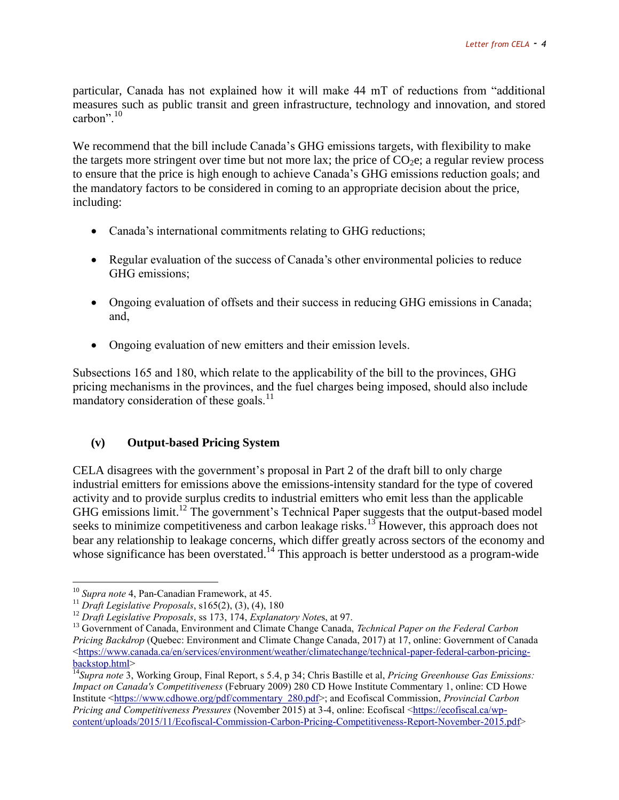particular, Canada has not explained how it will make 44 mT of reductions from "additional measures such as public transit and green infrastructure, technology and innovation, and stored carbon". $10$ 

We recommend that the bill include Canada's GHG emissions targets, with flexibility to make the targets more stringent over time but not more lax; the price of  $CO<sub>2</sub>e$ ; a regular review process to ensure that the price is high enough to achieve Canada's GHG emissions reduction goals; and the mandatory factors to be considered in coming to an appropriate decision about the price, including:

- Canada's international commitments relating to GHG reductions;
- Regular evaluation of the success of Canada's other environmental policies to reduce GHG emissions;
- Ongoing evaluation of offsets and their success in reducing GHG emissions in Canada; and,
- Ongoing evaluation of new emitters and their emission levels.

Subsections 165 and 180, which relate to the applicability of the bill to the provinces, GHG pricing mechanisms in the provinces, and the fuel charges being imposed, should also include mandatory consideration of these goals. $^{11}$ 

### **(v) Output-based Pricing System**

CELA disagrees with the government's proposal in Part 2 of the draft bill to only charge industrial emitters for emissions above the emissions-intensity standard for the type of covered activity and to provide surplus credits to industrial emitters who emit less than the applicable GHG emissions limit.<sup>12</sup> The government's Technical Paper suggests that the output-based model seeks to minimize competitiveness and carbon leakage risks.<sup>13</sup> However, this approach does not bear any relationship to leakage concerns, which differ greatly across sectors of the economy and whose significance has been overstated.<sup>14</sup> This approach is better understood as a program-wide

 $\overline{a}$ 

<sup>10</sup> *Supra note* 4, Pan-Canadian Framework, at 45.

<sup>11</sup> *Draft Legislative Proposals*, s165(2), (3), (4), 180

<sup>12</sup> *Draft Legislative Proposals*, ss 173, 174, *Explanatory Note*s, at 97.

<sup>13</sup> Government of Canada, Environment and Climate Change Canada, *Technical Paper on the Federal Carbon Pricing Backdrop* (Quebec: Environment and Climate Change Canada, 2017) at 17, online: Government of Canada  $\lt$ https://www.canada.ca/en/services/environment/weather/climatechange/technical-paper-federal-carbon-pricing[backstop.html>](https://www.canada.ca/en/services/environment/weather/climatechange/technical-paper-federal-carbon-pricing-backstop.html)

<sup>14</sup>*Supra note* 3, Working Group, Final Report, s 5.4, p 34; Chris Bastille et al, *Pricing Greenhouse Gas Emissions: Impact on Canada's Competitiveness* (February 2009) 280 CD Howe Institute Commentary 1, online: CD Howe Institute [<https://www.cdhowe.org/pdf/commentary\\_280.pdf>](https://www.cdhowe.org/pdf/commentary_280.pdf); and Ecofiscal Commission, *Provincial Carbon Pricing and Competitiveness Pressures* (November 2015) at 3-4, online: Ecofiscal [<https://ecofiscal.ca/wp](https://ecofiscal.ca/wp-content/uploads/2015/11/Ecofiscal-Commission-Carbon-Pricing-Competitiveness-Report-November-2015.pdf)[content/uploads/2015/11/Ecofiscal-Commission-Carbon-Pricing-Competitiveness-Report-November-2015.pdf>](https://ecofiscal.ca/wp-content/uploads/2015/11/Ecofiscal-Commission-Carbon-Pricing-Competitiveness-Report-November-2015.pdf)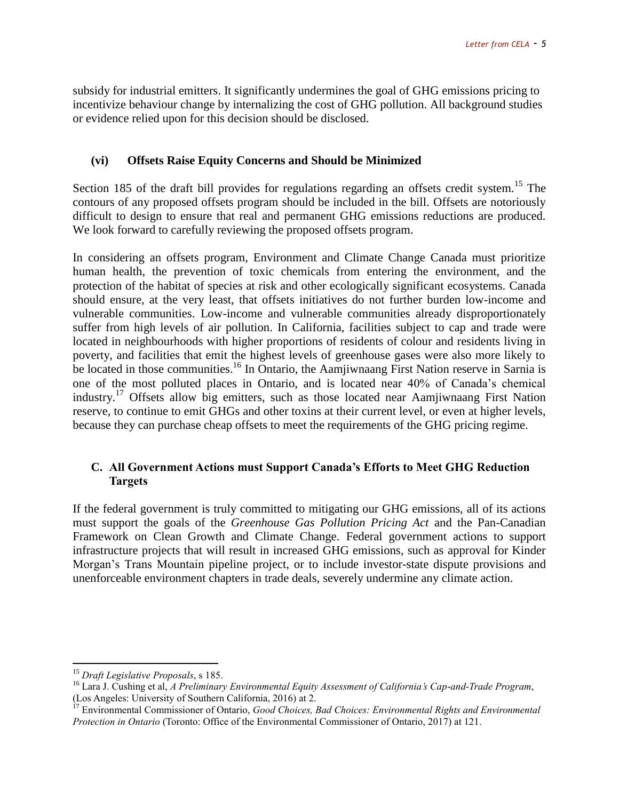subsidy for industrial emitters. It significantly undermines the goal of GHG emissions pricing to incentivize behaviour change by internalizing the cost of GHG pollution. All background studies or evidence relied upon for this decision should be disclosed.

#### **(vi) Offsets Raise Equity Concerns and Should be Minimized**

Section 185 of the draft bill provides for regulations regarding an offsets credit system.<sup>15</sup> The contours of any proposed offsets program should be included in the bill. Offsets are notoriously difficult to design to ensure that real and permanent GHG emissions reductions are produced. We look forward to carefully reviewing the proposed offsets program.

In considering an offsets program, Environment and Climate Change Canada must prioritize human health, the prevention of toxic chemicals from entering the environment, and the protection of the habitat of species at risk and other ecologically significant ecosystems. Canada should ensure, at the very least, that offsets initiatives do not further burden low-income and vulnerable communities. Low-income and vulnerable communities already disproportionately suffer from high levels of air pollution. In California, facilities subject to cap and trade were located in neighbourhoods with higher proportions of residents of colour and residents living in poverty, and facilities that emit the highest levels of greenhouse gases were also more likely to be located in those communities.<sup>16</sup> In Ontario, the Aamjiwnaang First Nation reserve in Sarnia is one of the most polluted places in Ontario, and is located near 40% of Canada's chemical industry.<sup>17</sup> Offsets allow big emitters, such as those located near Aamjiwnaang First Nation reserve, to continue to emit GHGs and other toxins at their current level, or even at higher levels, because they can purchase cheap offsets to meet the requirements of the GHG pricing regime.

### **C. All Government Actions must Support Canada's Efforts to Meet GHG Reduction Targets**

If the federal government is truly committed to mitigating our GHG emissions, all of its actions must support the goals of the *Greenhouse Gas Pollution Pricing Act* and the Pan-Canadian Framework on Clean Growth and Climate Change. Federal government actions to support infrastructure projects that will result in increased GHG emissions, such as approval for Kinder Morgan's Trans Mountain pipeline project, or to include investor-state dispute provisions and unenforceable environment chapters in trade deals, severely undermine any climate action.

 $\overline{a}$ 

<sup>15</sup> *Draft Legislative Proposals*, s 185.

<sup>16</sup> Lara J. Cushing et al, *A Preliminary Environmental Equity Assessment of California's Cap-and-Trade Program*, (Los Angeles: University of Southern California, 2016) at 2.

<sup>&</sup>lt;sup>17</sup> Environmental Commissioner of Ontario, *Good Choices, Bad Choices: Environmental Rights and Environmental Protection in Ontario* (Toronto: Office of the Environmental Commissioner of Ontario, 2017) at 121.